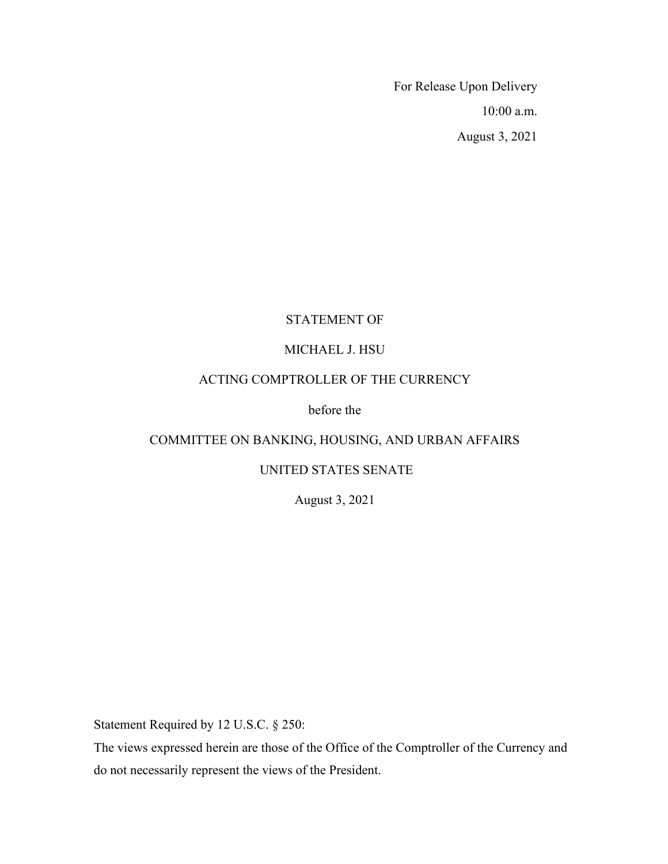For Release Upon Delivery 10:00 a.m. August 3, 2021

# STATEMENT OF

# MICHAEL J. HSU

# ACTING COMPTROLLER OF THE CURRENCY

# before the

# COMMITTEE ON BANKING, HOUSING, AND URBAN AFFAIRS

# UNITED STATES SENATE

August 3, 2021

Statement Required by 12 U.S.C. § 250:

The views expressed herein are those of the Office of the Comptroller of the Currency and do not necessarily represent the views of the President.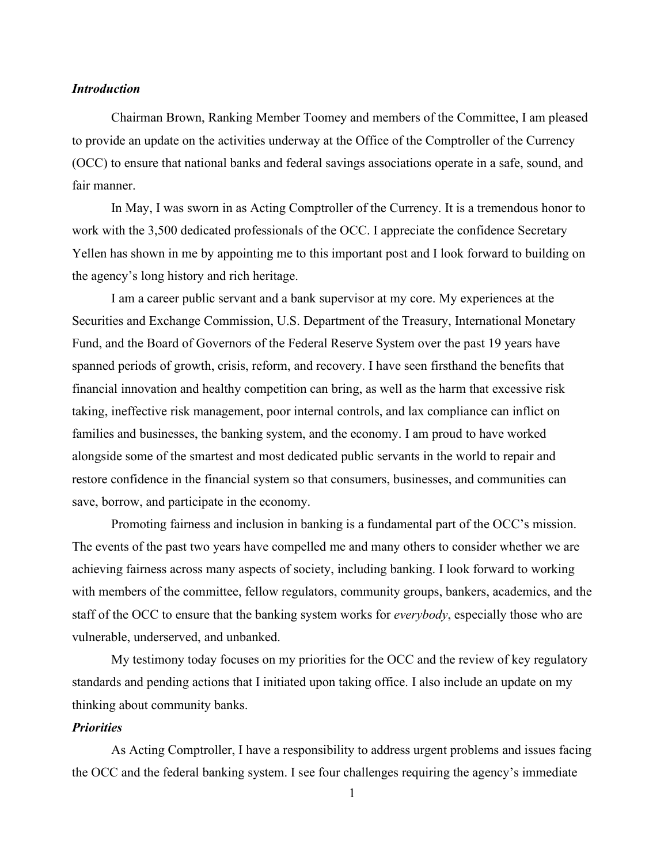### *Introduction*

Chairman Brown, Ranking Member Toomey and members of the Committee, I am pleased to provide an update on the activities underway at the Office of the Comptroller of the Currency (OCC) to ensure that national banks and federal savings associations operate in a safe, sound, and fair manner.

In May, I was sworn in as Acting Comptroller of the Currency. It is a tremendous honor to work with the 3,500 dedicated professionals of the OCC. I appreciate the confidence Secretary Yellen has shown in me by appointing me to this important post and I look forward to building on the agency's long history and rich heritage.

I am a career public servant and a bank supervisor at my core. My experiences at the Securities and Exchange Commission, U.S. Department of the Treasury, International Monetary Fund, and the Board of Governors of the Federal Reserve System over the past 19 years have spanned periods of growth, crisis, reform, and recovery. I have seen firsthand the benefits that financial innovation and healthy competition can bring, as well as the harm that excessive risk taking, ineffective risk management, poor internal controls, and lax compliance can inflict on families and businesses, the banking system, and the economy. I am proud to have worked alongside some of the smartest and most dedicated public servants in the world to repair and restore confidence in the financial system so that consumers, businesses, and communities can save, borrow, and participate in the economy.

Promoting fairness and inclusion in banking is a fundamental part of the OCC's mission. The events of the past two years have compelled me and many others to consider whether we are achieving fairness across many aspects of society, including banking. I look forward to working with members of the committee, fellow regulators, community groups, bankers, academics, and the staff of the OCC to ensure that the banking system works for *everybody*, especially those who are vulnerable, underserved, and unbanked.

My testimony today focuses on my priorities for the OCC and the review of key regulatory standards and pending actions that I initiated upon taking office. I also include an update on my thinking about community banks.

### *Priorities*

As Acting Comptroller, I have a responsibility to address urgent problems and issues facing the OCC and the federal banking system. I see four challenges requiring the agency's immediate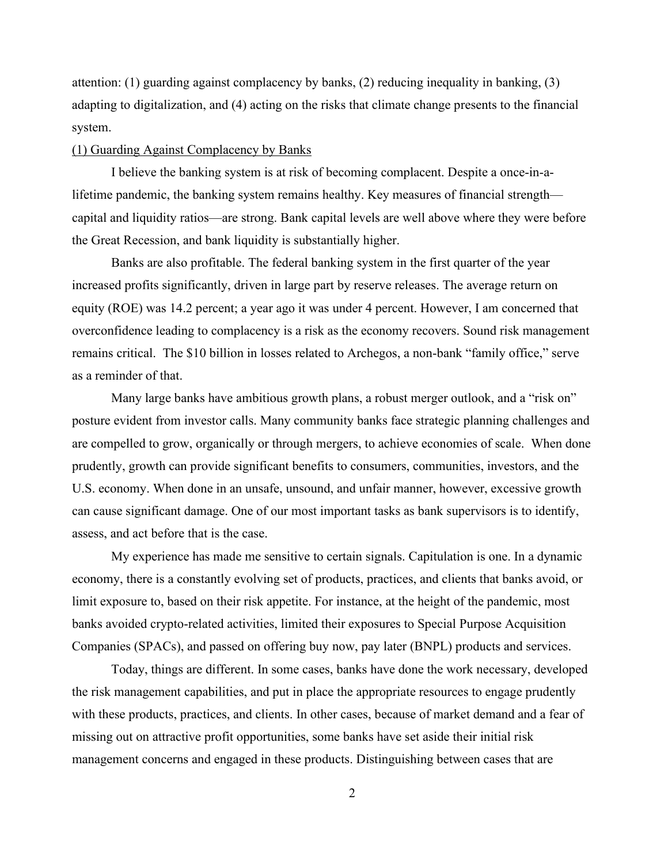attention: (1) guarding against complacency by banks, (2) reducing inequality in banking, (3) adapting to digitalization, and (4) acting on the risks that climate change presents to the financial system.

#### (1) Guarding Against Complacency by Banks

I believe the banking system is at risk of becoming complacent. Despite a once-in-alifetime pandemic, the banking system remains healthy. Key measures of financial strength capital and liquidity ratios—are strong. Bank capital levels are well above where they were before the Great Recession, and bank liquidity is substantially higher.

Banks are also profitable. The federal banking system in the first quarter of the year increased profits significantly, driven in large part by reserve releases. The average return on equity (ROE) was 14.2 percent; a year ago it was under 4 percent. However, I am concerned that overconfidence leading to complacency is a risk as the economy recovers. Sound risk management remains critical. The \$10 billion in losses related to Archegos, a non-bank "family office," serve as a reminder of that.

Many large banks have ambitious growth plans, a robust merger outlook, and a "risk on" posture evident from investor calls. Many community banks face strategic planning challenges and are compelled to grow, organically or through mergers, to achieve economies of scale. When done prudently, growth can provide significant benefits to consumers, communities, investors, and the U.S. economy. When done in an unsafe, unsound, and unfair manner, however, excessive growth can cause significant damage. One of our most important tasks as bank supervisors is to identify, assess, and act before that is the case.

My experience has made me sensitive to certain signals. Capitulation is one. In a dynamic economy, there is a constantly evolving set of products, practices, and clients that banks avoid, or limit exposure to, based on their risk appetite. For instance, at the height of the pandemic, most banks avoided crypto-related activities, limited their exposures to Special Purpose Acquisition Companies (SPACs), and passed on offering buy now, pay later (BNPL) products and services.

Today, things are different. In some cases, banks have done the work necessary, developed the risk management capabilities, and put in place the appropriate resources to engage prudently with these products, practices, and clients. In other cases, because of market demand and a fear of missing out on attractive profit opportunities, some banks have set aside their initial risk management concerns and engaged in these products. Distinguishing between cases that are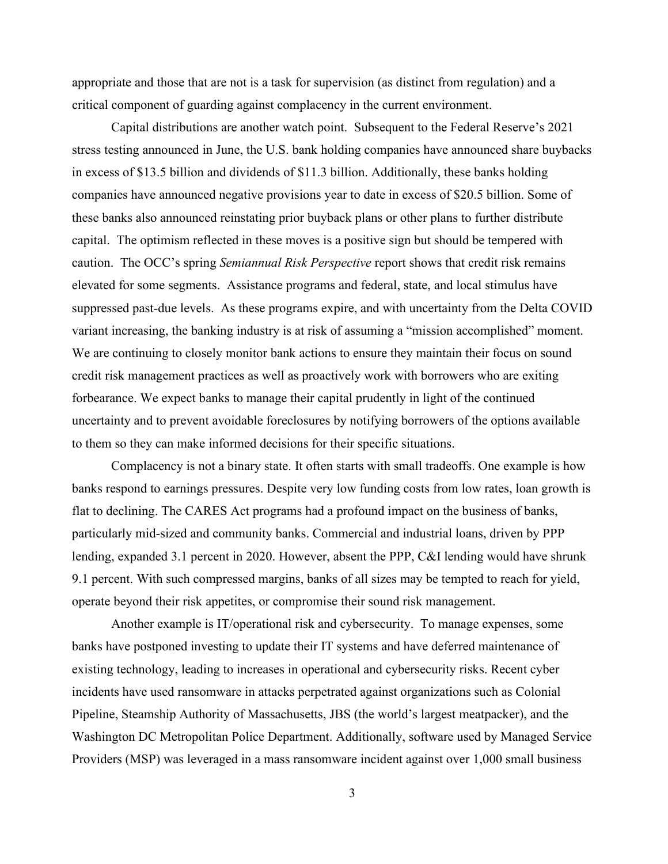appropriate and those that are not is a task for supervision (as distinct from regulation) and a critical component of guarding against complacency in the current environment.

Capital distributions are another watch point. Subsequent to the Federal Reserve's 2021 stress testing announced in June, the U.S. bank holding companies have announced share buybacks in excess of \$13.5 billion and dividends of \$11.3 billion. Additionally, these banks holding companies have announced negative provisions year to date in excess of \$20.5 billion. Some of these banks also announced reinstating prior buyback plans or other plans to further distribute capital. The optimism reflected in these moves is a positive sign but should be tempered with caution. The OCC's spring *Semiannual Risk Perspective* report shows that credit risk remains elevated for some segments. Assistance programs and federal, state, and local stimulus have suppressed past-due levels. As these programs expire, and with uncertainty from the Delta COVID variant increasing, the banking industry is at risk of assuming a "mission accomplished" moment. We are continuing to closely monitor bank actions to ensure they maintain their focus on sound credit risk management practices as well as proactively work with borrowers who are exiting forbearance. We expect banks to manage their capital prudently in light of the continued uncertainty and to prevent avoidable foreclosures by notifying borrowers of the options available to them so they can make informed decisions for their specific situations.

Complacency is not a binary state. It often starts with small tradeoffs. One example is how banks respond to earnings pressures. Despite very low funding costs from low rates, loan growth is flat to declining. The CARES Act programs had a profound impact on the business of banks, particularly mid-sized and community banks. Commercial and industrial loans, driven by PPP lending, expanded 3.1 percent in 2020. However, absent the PPP, C&I lending would have shrunk 9.1 percent. With such compressed margins, banks of all sizes may be tempted to reach for yield, operate beyond their risk appetites, or compromise their sound risk management.

Another example is IT/operational risk and cybersecurity. To manage expenses, some banks have postponed investing to update their IT systems and have deferred maintenance of existing technology, leading to increases in operational and cybersecurity risks. Recent cyber incidents have used ransomware in attacks perpetrated against organizations such as Colonial Pipeline, Steamship Authority of Massachusetts, JBS (the world's largest meatpacker), and the Washington DC Metropolitan Police Department. Additionally, software used by Managed Service Providers (MSP) was leveraged in a mass ransomware incident against over 1,000 small business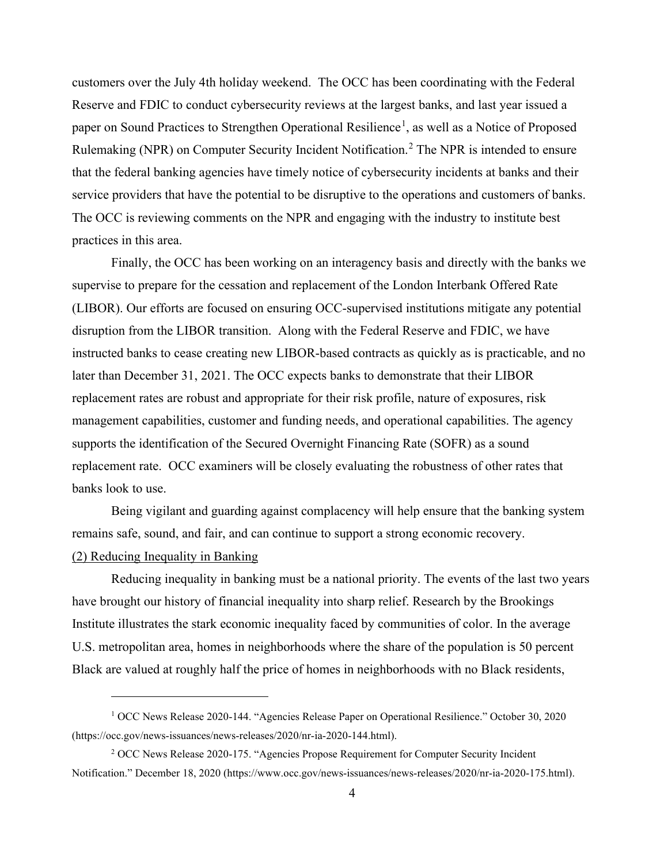customers over the July 4th holiday weekend. The OCC has been coordinating with the Federal Reserve and FDIC to conduct cybersecurity reviews at the largest banks, and last year issued a paper on Sound Practices to Strengthen Operational Resilience<sup>[1](#page-4-0)</sup>, as well as a Notice of Proposed Rulemaking (NPR) on Computer Security Incident Notification.<sup>[2](#page-4-1)</sup> The NPR is intended to ensure that the federal banking agencies have timely notice of cybersecurity incidents at banks and their service providers that have the potential to be disruptive to the operations and customers of banks. The OCC is reviewing comments on the NPR and engaging with the industry to institute best practices in this area.

Finally, the OCC has been working on an interagency basis and directly with the banks we supervise to prepare for the cessation and replacement of the London Interbank Offered Rate (LIBOR). Our efforts are focused on ensuring OCC-supervised institutions mitigate any potential disruption from the LIBOR transition. Along with the Federal Reserve and FDIC, we have instructed banks to cease creating new LIBOR-based contracts as quickly as is practicable, and no later than December 31, 2021. The OCC expects banks to demonstrate that their LIBOR replacement rates are robust and appropriate for their risk profile, nature of exposures, risk management capabilities, customer and funding needs, and operational capabilities. The agency supports the identification of the Secured Overnight Financing Rate (SOFR) as a sound replacement rate. OCC examiners will be closely evaluating the robustness of other rates that banks look to use.

Being vigilant and guarding against complacency will help ensure that the banking system remains safe, sound, and fair, and can continue to support a strong economic recovery. (2) Reducing Inequality in Banking

Reducing inequality in banking must be a national priority. The events of the last two years have brought our history of financial inequality into sharp relief. Research by the Brookings Institute illustrates the stark economic inequality faced by communities of color. In the average U.S. metropolitan area, homes in neighborhoods where the share of the population is 50 percent Black are valued at roughly half the price of homes in neighborhoods with no Black residents,

<span id="page-4-0"></span><sup>1</sup> OCC News Release 2020-144. "Agencies Release Paper on Operational Resilience." October 30, 2020 (https://occ.gov/news-issuances/news-releases/2020/nr-ia-2020-144.html).

<span id="page-4-1"></span><sup>2</sup> OCC News Release 2020-175. "Agencies Propose Requirement for Computer Security Incident Notification." December 18, 2020 (https://www.occ.gov/news-issuances/news-releases/2020/nr-ia-2020-175.html).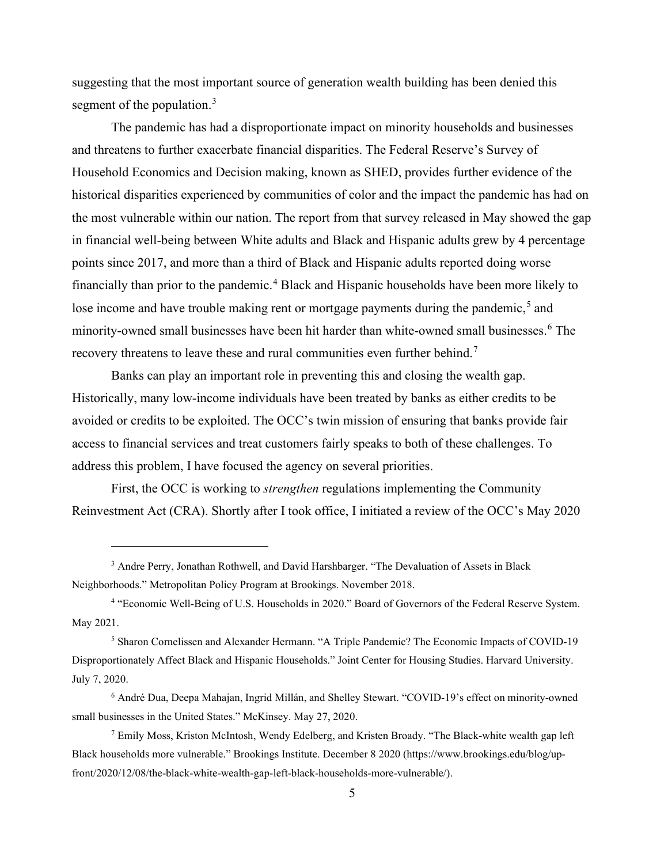suggesting that the most important source of generation wealth building has been denied this segment of the population.<sup>[3](#page-5-0)</sup>

The pandemic has had a disproportionate impact on minority households and businesses and threatens to further exacerbate financial disparities. The Federal Reserve's Survey of Household Economics and Decision making, known as SHED, provides further evidence of the historical disparities experienced by communities of color and the impact the pandemic has had on the most vulnerable within our nation. The report from that survey released in May showed the gap in financial well-being between White adults and Black and Hispanic adults grew by 4 percentage points since 2017, and more than a third of Black and Hispanic adults reported doing worse financially than prior to the pandemic.[4](#page-5-1) Black and Hispanic households have been more likely to lose income and have trouble making rent or mortgage payments during the pandemic,<sup>[5](#page-5-2)</sup> and minority-owned small businesses have been hit harder than white-owned small businesses.<sup>[6](#page-5-3)</sup> The recovery threatens to leave these and rural communities even further behind.<sup>[7](#page-5-4)</sup>

Banks can play an important role in preventing this and closing the wealth gap. Historically, many low-income individuals have been treated by banks as either credits to be avoided or credits to be exploited. The OCC's twin mission of ensuring that banks provide fair access to financial services and treat customers fairly speaks to both of these challenges. To address this problem, I have focused the agency on several priorities.

First, the OCC is working to *strengthen* regulations implementing the Community Reinvestment Act (CRA). Shortly after I took office, I initiated a review of the OCC's May 2020

<span id="page-5-0"></span><sup>3</sup> Andre Perry, Jonathan Rothwell, and David Harshbarger. "The Devaluation of Assets in Black Neighborhoods." Metropolitan Policy Program at Brookings. November 2018.

<span id="page-5-1"></span><sup>4</sup> "Economic Well-Being of U.S. Households in 2020." Board of Governors of the Federal Reserve System. May 2021.

<span id="page-5-2"></span><sup>5</sup> Sharon Cornelissen and Alexander Hermann. "A Triple Pandemic? The Economic Impacts of COVID-19 Disproportionately Affect Black and Hispanic Households." Joint Center for Housing Studies. Harvard University. July 7, 2020.

<span id="page-5-3"></span> $6$  André Dua, Deepa Mahajan, Ingrid Millán, and Shelley Stewart. "COVID-19's effect on minority-owned small businesses in the United States." McKinsey. May 27, 2020.

<span id="page-5-4"></span> $^7$  Emily Moss, Kriston McIntosh, Wendy Edelberg, and Kristen Broady. "The Black-white wealth gap left Black households more vulnerable." Brookings Institute. December 8 2020 (https://www.brookings.edu/blog/upfront/2020/12/08/the-black-white-wealth-gap-left-black-households-more-vulnerable/).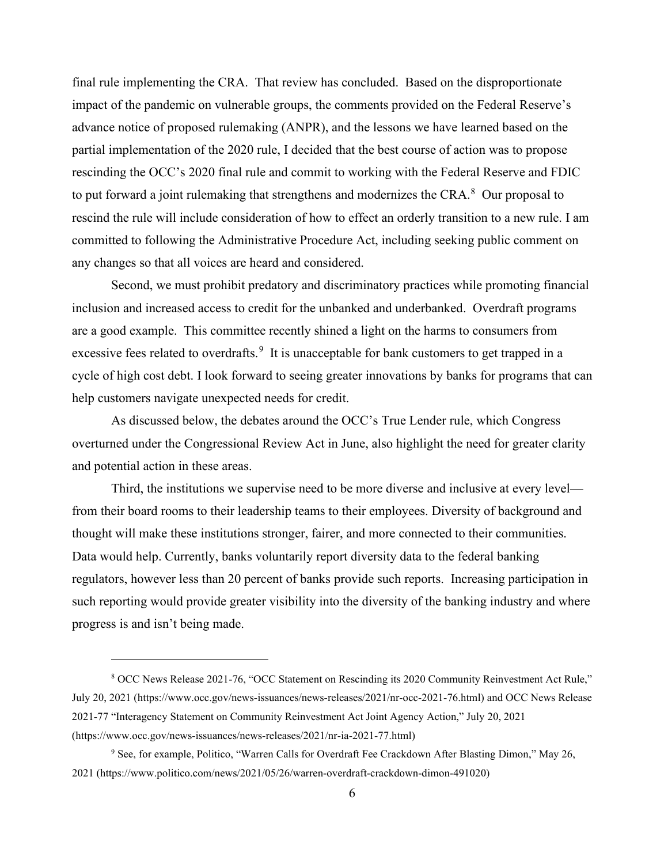final rule implementing the CRA. That review has concluded. Based on the disproportionate impact of the pandemic on vulnerable groups, the comments provided on the Federal Reserve's advance notice of proposed rulemaking (ANPR), and the lessons we have learned based on the partial implementation of the 2020 rule, I decided that the best course of action was to propose rescinding the OCC's 2020 final rule and commit to working with the Federal Reserve and FDIC to put forward a joint rulemaking that strengthens and modernizes the CRA. $8$  Our proposal to rescind the rule will include consideration of how to effect an orderly transition to a new rule. I am committed to following the Administrative Procedure Act, including seeking public comment on any changes so that all voices are heard and considered.

Second, we must prohibit predatory and discriminatory practices while promoting financial inclusion and increased access to credit for the unbanked and underbanked. Overdraft programs are a good example. This committee recently shined a light on the harms to consumers from excessive fees related to overdrafts.<sup>[9](#page-6-1)</sup> It is unacceptable for bank customers to get trapped in a cycle of high cost debt. I look forward to seeing greater innovations by banks for programs that can help customers navigate unexpected needs for credit.

As discussed below, the debates around the OCC's True Lender rule, which Congress overturned under the Congressional Review Act in June, also highlight the need for greater clarity and potential action in these areas.

Third, the institutions we supervise need to be more diverse and inclusive at every level from their board rooms to their leadership teams to their employees. Diversity of background and thought will make these institutions stronger, fairer, and more connected to their communities. Data would help. Currently, banks voluntarily report diversity data to the federal banking regulators, however less than 20 percent of banks provide such reports. Increasing participation in such reporting would provide greater visibility into the diversity of the banking industry and where progress is and isn't being made.

<span id="page-6-0"></span><sup>8</sup> OCC News Release 2021-76, "OCC Statement on Rescinding its 2020 Community Reinvestment Act Rule," July 20, 2021 (https://www.occ.gov/news-issuances/news-releases/2021/nr-occ-2021-76.html) and OCC News Release 2021-77 "Interagency Statement on Community Reinvestment Act Joint Agency Action," July 20, 2021 (https://www.occ.gov/news-issuances/news-releases/2021/nr-ia-2021-77.html)

<span id="page-6-1"></span><sup>&</sup>lt;sup>9</sup> See, for example, Politico, "Warren Calls for Overdraft Fee Crackdown After Blasting Dimon," May 26, 2021 (https://www.politico.com/news/2021/05/26/warren-overdraft-crackdown-dimon-491020)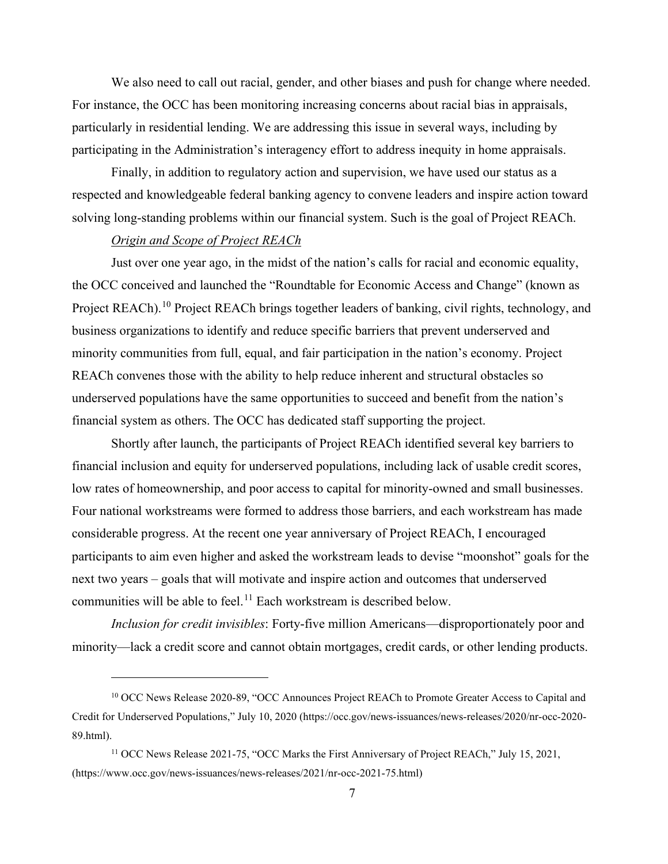We also need to call out racial, gender, and other biases and push for change where needed. For instance, the OCC has been monitoring increasing concerns about racial bias in appraisals, particularly in residential lending. We are addressing this issue in several ways, including by participating in the Administration's interagency effort to address inequity in home appraisals.

Finally, in addition to regulatory action and supervision, we have used our status as a respected and knowledgeable federal banking agency to convene leaders and inspire action toward solving long-standing problems within our financial system. Such is the goal of Project REACh.

## *Origin and Scope of Project REACh*

Just over one year ago, in the midst of the nation's calls for racial and economic equality, the OCC conceived and launched the "Roundtable for Economic Access and Change" (known as Project REACh).<sup>[10](#page-7-0)</sup> Project REACh brings together leaders of banking, civil rights, technology, and business organizations to identify and reduce specific barriers that prevent underserved and minority communities from full, equal, and fair participation in the nation's economy. Project REACh convenes those with the ability to help reduce inherent and structural obstacles so underserved populations have the same opportunities to succeed and benefit from the nation's financial system as others. The OCC has dedicated staff supporting the project.

Shortly after launch, the participants of Project REACh identified several key barriers to financial inclusion and equity for underserved populations, including lack of usable credit scores, low rates of homeownership, and poor access to capital for minority-owned and small businesses. Four national workstreams were formed to address those barriers, and each workstream has made considerable progress. At the recent one year anniversary of Project REACh, I encouraged participants to aim even higher and asked the workstream leads to devise "moonshot" goals for the next two years – goals that will motivate and inspire action and outcomes that underserved communities will be able to feel.<sup>[11](#page-7-1)</sup> Each workstream is described below.

*Inclusion for credit invisibles*: Forty-five million Americans—disproportionately poor and minority—lack a credit score and cannot obtain mortgages, credit cards, or other lending products.

<span id="page-7-0"></span><sup>10</sup> OCC News Release 2020-89, "OCC Announces Project REACh to Promote Greater Access to Capital and Credit for Underserved Populations," July 10, 2020 (https://occ.gov/news-issuances/news-releases/2020/nr-occ-2020- 89.html).

<span id="page-7-1"></span><sup>&</sup>lt;sup>11</sup> OCC News Release 2021-75, "OCC Marks the First Anniversary of Project REACh," July 15, 2021, (https://www.occ.gov/news-issuances/news-releases/2021/nr-occ-2021-75.html)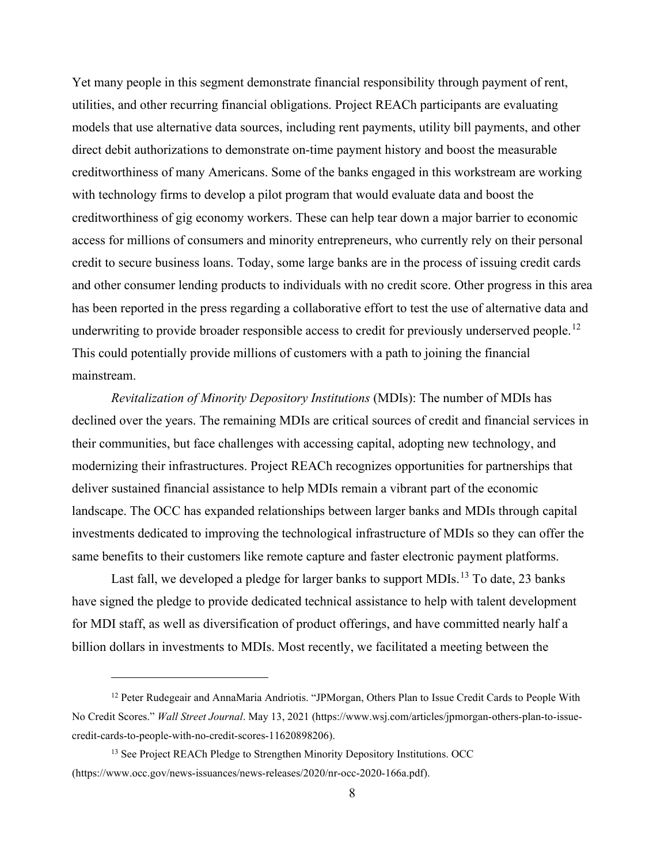Yet many people in this segment demonstrate financial responsibility through payment of rent, utilities, and other recurring financial obligations. Project REACh participants are evaluating models that use alternative data sources, including rent payments, utility bill payments, and other direct debit authorizations to demonstrate on-time payment history and boost the measurable creditworthiness of many Americans. Some of the banks engaged in this workstream are working with technology firms to develop a pilot program that would evaluate data and boost the creditworthiness of gig economy workers. These can help tear down a major barrier to economic access for millions of consumers and minority entrepreneurs, who currently rely on their personal credit to secure business loans. Today, some large banks are in the process of issuing credit cards and other consumer lending products to individuals with no credit score. Other progress in this area has been reported in the press regarding a collaborative effort to test the use of alternative data and underwriting to provide broader responsible access to credit for previously underserved people.<sup>[12](#page-8-0)</sup> This could potentially provide millions of customers with a path to joining the financial mainstream.

*Revitalization of Minority Depository Institutions* (MDIs): The number of MDIs has declined over the years. The remaining MDIs are critical sources of credit and financial services in their communities, but face challenges with accessing capital, adopting new technology, and modernizing their infrastructures. Project REACh recognizes opportunities for partnerships that deliver sustained financial assistance to help MDIs remain a vibrant part of the economic landscape. The OCC has expanded relationships between larger banks and MDIs through capital investments dedicated to improving the technological infrastructure of MDIs so they can offer the same benefits to their customers like remote capture and faster electronic payment platforms.

Last fall, we developed a pledge for larger banks to support MDIs.<sup>[13](#page-8-1)</sup> To date, 23 banks have signed the pledge to provide dedicated technical assistance to help with talent development for MDI staff, as well as diversification of product offerings, and have committed nearly half a billion dollars in investments to MDIs. Most recently, we facilitated a meeting between the

<span id="page-8-0"></span><sup>&</sup>lt;sup>12</sup> Peter Rudegeair and AnnaMaria Andriotis. "JPMorgan, Others Plan to Issue Credit Cards to People With No Credit Scores." *Wall Street Journal*. May 13, 2021 (https://www.wsj.com/articles/jpmorgan-others-plan-to-issuecredit-cards-to-people-with-no-credit-scores-11620898206).

<span id="page-8-1"></span><sup>&</sup>lt;sup>13</sup> See Project REACh Pledge to Strengthen Minority Depository Institutions. OCC (https://www.occ.gov/news-issuances/news-releases/2020/nr-occ-2020-166a.pdf).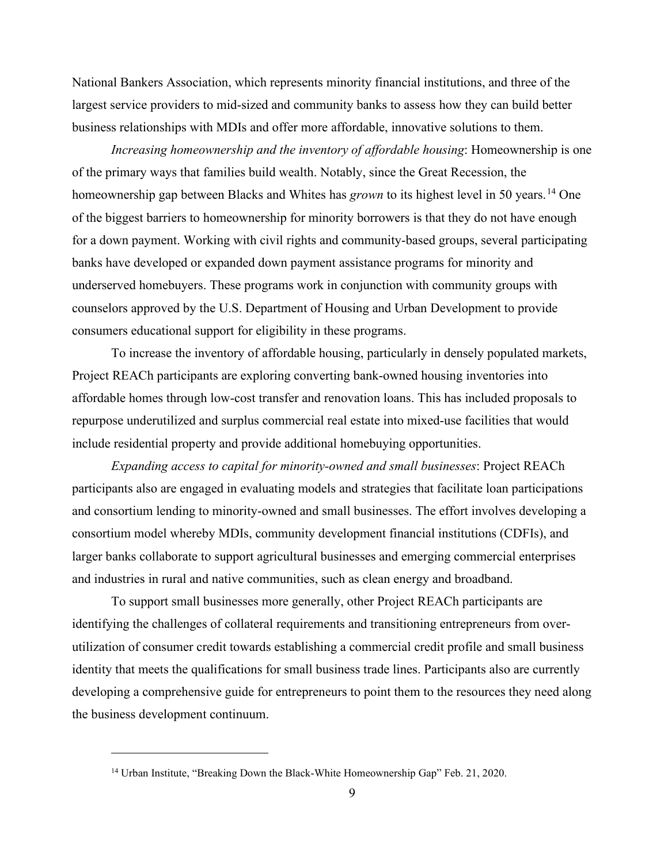National Bankers Association, which represents minority financial institutions, and three of the largest service providers to mid-sized and community banks to assess how they can build better business relationships with MDIs and offer more affordable, innovative solutions to them.

*Increasing homeownership and the inventory of affordable housing*: Homeownership is one of the primary ways that families build wealth. Notably, since the Great Recession, the homeownership gap between Blacks and Whites has *grown* to its highest level in 50 years. [14](#page-9-0) One of the biggest barriers to homeownership for minority borrowers is that they do not have enough for a down payment. Working with civil rights and community-based groups, several participating banks have developed or expanded down payment assistance programs for minority and underserved homebuyers. These programs work in conjunction with community groups with counselors approved by the U.S. Department of Housing and Urban Development to provide consumers educational support for eligibility in these programs.

To increase the inventory of affordable housing, particularly in densely populated markets, Project REACh participants are exploring converting bank-owned housing inventories into affordable homes through low-cost transfer and renovation loans. This has included proposals to repurpose underutilized and surplus commercial real estate into mixed-use facilities that would include residential property and provide additional homebuying opportunities.

*Expanding access to capital for minority-owned and small businesses*: Project REACh participants also are engaged in evaluating models and strategies that facilitate loan participations and consortium lending to minority-owned and small businesses. The effort involves developing a consortium model whereby MDIs, community development financial institutions (CDFIs), and larger banks collaborate to support agricultural businesses and emerging commercial enterprises and industries in rural and native communities, such as clean energy and broadband.

To support small businesses more generally, other Project REACh participants are identifying the challenges of collateral requirements and transitioning entrepreneurs from overutilization of consumer credit towards establishing a commercial credit profile and small business identity that meets the qualifications for small business trade lines. Participants also are currently developing a comprehensive guide for entrepreneurs to point them to the resources they need along the business development continuum.

<span id="page-9-0"></span><sup>&</sup>lt;sup>14</sup> Urban Institute, "Breaking Down the Black-White Homeownership Gap" Feb. 21, 2020.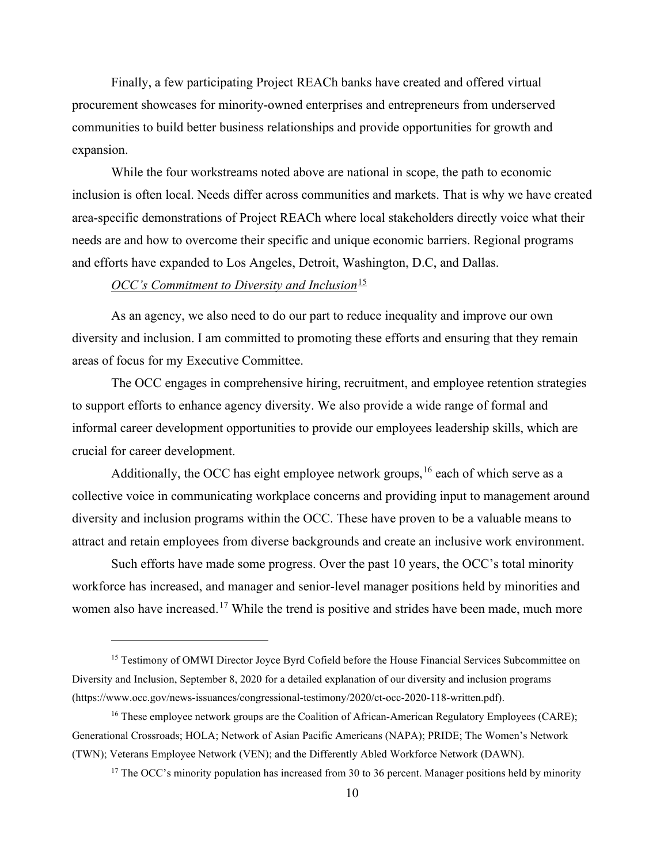Finally, a few participating Project REACh banks have created and offered virtual procurement showcases for minority-owned enterprises and entrepreneurs from underserved communities to build better business relationships and provide opportunities for growth and expansion.

While the four workstreams noted above are national in scope, the path to economic inclusion is often local. Needs differ across communities and markets. That is why we have created area-specific demonstrations of Project REACh where local stakeholders directly voice what their needs are and how to overcome their specific and unique economic barriers. Regional programs and efforts have expanded to Los Angeles, Detroit, Washington, D.C, and Dallas.

## *OCC's Commitment to Diversity and Inclusion*<sup>[15](#page-10-0)</sup>

As an agency, we also need to do our part to reduce inequality and improve our own diversity and inclusion. I am committed to promoting these efforts and ensuring that they remain areas of focus for my Executive Committee.

The OCC engages in comprehensive hiring, recruitment, and employee retention strategies to support efforts to enhance agency diversity. We also provide a wide range of formal and informal career development opportunities to provide our employees leadership skills, which are crucial for career development.

Additionally, the OCC has eight employee network groups,  $16$  each of which serve as a collective voice in communicating workplace concerns and providing input to management around diversity and inclusion programs within the OCC. These have proven to be a valuable means to attract and retain employees from diverse backgrounds and create an inclusive work environment.

Such efforts have made some progress. Over the past 10 years, the OCC's total minority workforce has increased, and manager and senior-level manager positions held by minorities and women also have increased.<sup>[17](#page-10-2)</sup> While the trend is positive and strides have been made, much more

<span id="page-10-0"></span><sup>&</sup>lt;sup>15</sup> Testimony of OMWI Director Joyce Byrd Cofield before the House Financial Services Subcommittee on Diversity and Inclusion, September 8, 2020 for a detailed explanation of our diversity and inclusion programs (https://www.occ.gov/news-issuances/congressional-testimony/2020/ct-occ-2020-118-written.pdf).

<span id="page-10-2"></span><span id="page-10-1"></span><sup>&</sup>lt;sup>16</sup> These employee network groups are the Coalition of African-American Regulatory Employees (CARE); Generational Crossroads; HOLA; Network of Asian Pacific Americans (NAPA); PRIDE; The Women's Network (TWN); Veterans Employee Network (VEN); and the Differently Abled Workforce Network (DAWN).

 $17$  The OCC's minority population has increased from 30 to 36 percent. Manager positions held by minority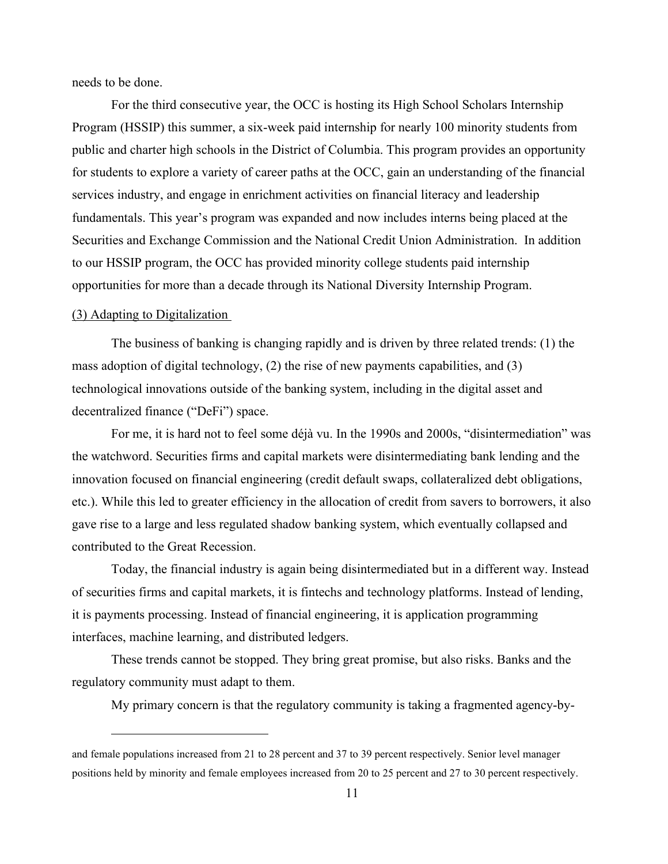needs to be done.

For the third consecutive year, the OCC is hosting its High School Scholars Internship Program (HSSIP) this summer, a six-week paid internship for nearly 100 minority students from public and charter high schools in the District of Columbia. This program provides an opportunity for students to explore a variety of career paths at the OCC, gain an understanding of the financial services industry, and engage in enrichment activities on financial literacy and leadership fundamentals. This year's program was expanded and now includes interns being placed at the Securities and Exchange Commission and the National Credit Union Administration. In addition to our HSSIP program, the OCC has provided minority college students paid internship opportunities for more than a decade through its National Diversity Internship Program.

#### (3) Adapting to Digitalization

The business of banking is changing rapidly and is driven by three related trends: (1) the mass adoption of digital technology, (2) the rise of new payments capabilities, and (3) technological innovations outside of the banking system, including in the digital asset and decentralized finance ("DeFi") space.

For me, it is hard not to feel some déjà vu. In the 1990s and 2000s, "disintermediation" was the watchword. Securities firms and capital markets were disintermediating bank lending and the innovation focused on financial engineering (credit default swaps, collateralized debt obligations, etc.). While this led to greater efficiency in the allocation of credit from savers to borrowers, it also gave rise to a large and less regulated shadow banking system, which eventually collapsed and contributed to the Great Recession.

Today, the financial industry is again being disintermediated but in a different way. Instead of securities firms and capital markets, it is fintechs and technology platforms. Instead of lending, it is payments processing. Instead of financial engineering, it is application programming interfaces, machine learning, and distributed ledgers.

These trends cannot be stopped. They bring great promise, but also risks. Banks and the regulatory community must adapt to them.

My primary concern is that the regulatory community is taking a fragmented agency-by-

and female populations increased from 21 to 28 percent and 37 to 39 percent respectively. Senior level manager positions held by minority and female employees increased from 20 to 25 percent and 27 to 30 percent respectively.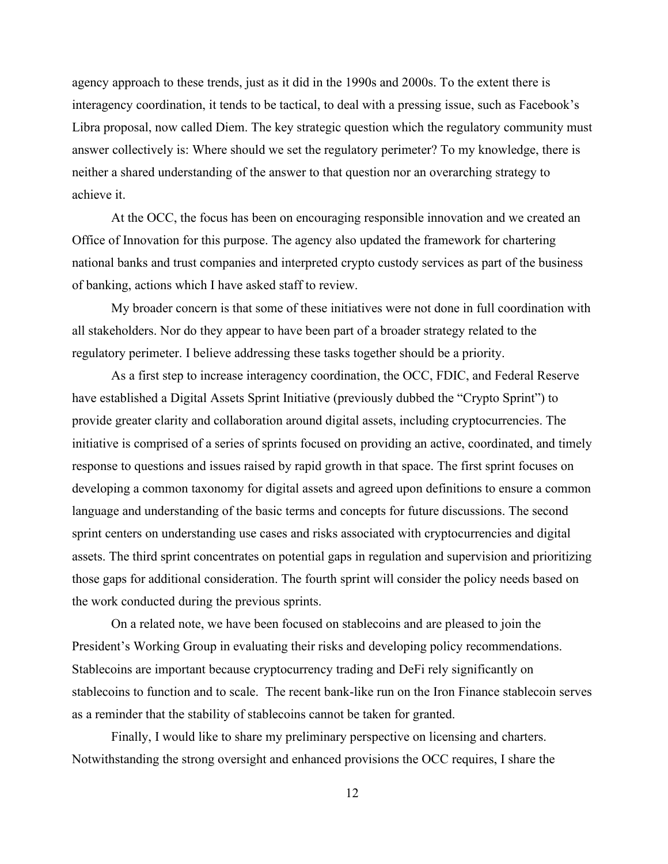agency approach to these trends, just as it did in the 1990s and 2000s. To the extent there is interagency coordination, it tends to be tactical, to deal with a pressing issue, such as Facebook's Libra proposal, now called Diem. The key strategic question which the regulatory community must answer collectively is: Where should we set the regulatory perimeter? To my knowledge, there is neither a shared understanding of the answer to that question nor an overarching strategy to achieve it.

At the OCC, the focus has been on encouraging responsible innovation and we created an Office of Innovation for this purpose. The agency also updated the framework for chartering national banks and trust companies and interpreted crypto custody services as part of the business of banking, actions which I have asked staff to review.

My broader concern is that some of these initiatives were not done in full coordination with all stakeholders. Nor do they appear to have been part of a broader strategy related to the regulatory perimeter. I believe addressing these tasks together should be a priority.

As a first step to increase interagency coordination, the OCC, FDIC, and Federal Reserve have established a Digital Assets Sprint Initiative (previously dubbed the "Crypto Sprint") to provide greater clarity and collaboration around digital assets, including cryptocurrencies. The initiative is comprised of a series of sprints focused on providing an active, coordinated, and timely response to questions and issues raised by rapid growth in that space. The first sprint focuses on developing a common taxonomy for digital assets and agreed upon definitions to ensure a common language and understanding of the basic terms and concepts for future discussions. The second sprint centers on understanding use cases and risks associated with cryptocurrencies and digital assets. The third sprint concentrates on potential gaps in regulation and supervision and prioritizing those gaps for additional consideration. The fourth sprint will consider the policy needs based on the work conducted during the previous sprints.

On a related note, we have been focused on stablecoins and are pleased to join the President's Working Group in evaluating their risks and developing policy recommendations. Stablecoins are important because cryptocurrency trading and DeFi rely significantly on stablecoins to function and to scale. The recent bank-like run on the Iron Finance stablecoin serves as a reminder that the stability of stablecoins cannot be taken for granted.

Finally, I would like to share my preliminary perspective on licensing and charters. Notwithstanding the strong oversight and enhanced provisions the OCC requires, I share the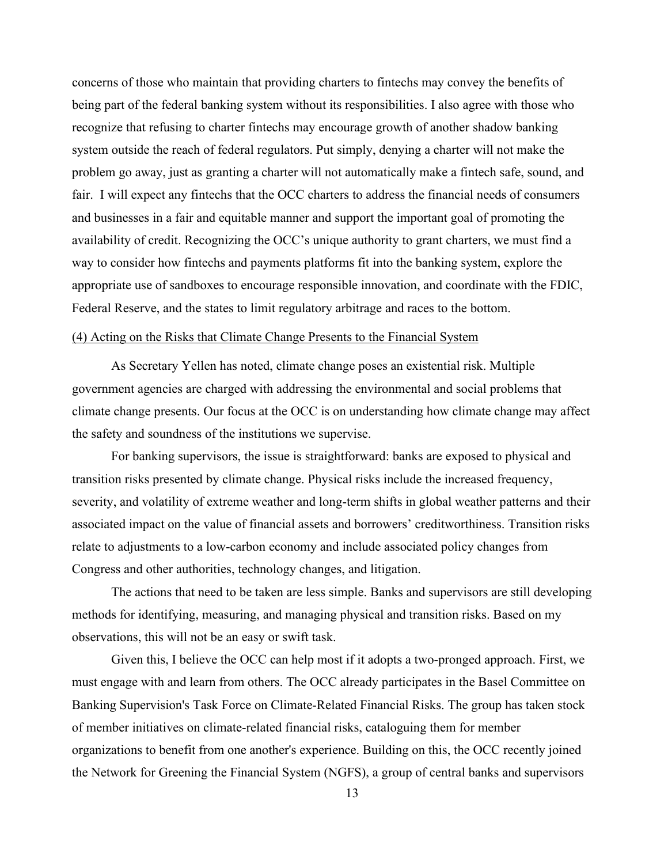concerns of those who maintain that providing charters to fintechs may convey the benefits of being part of the federal banking system without its responsibilities. I also agree with those who recognize that refusing to charter fintechs may encourage growth of another shadow banking system outside the reach of federal regulators. Put simply, denying a charter will not make the problem go away, just as granting a charter will not automatically make a fintech safe, sound, and fair. I will expect any fintechs that the OCC charters to address the financial needs of consumers and businesses in a fair and equitable manner and support the important goal of promoting the availability of credit. Recognizing the OCC's unique authority to grant charters, we must find a way to consider how fintechs and payments platforms fit into the banking system, explore the appropriate use of sandboxes to encourage responsible innovation, and coordinate with the FDIC, Federal Reserve, and the states to limit regulatory arbitrage and races to the bottom.

## (4) Acting on the Risks that Climate Change Presents to the Financial System

As Secretary Yellen has noted, climate change poses an existential risk. Multiple government agencies are charged with addressing the environmental and social problems that climate change presents. Our focus at the OCC is on understanding how climate change may affect the safety and soundness of the institutions we supervise.

For banking supervisors, the issue is straightforward: banks are exposed to physical and transition risks presented by climate change. Physical risks include the increased frequency, severity, and volatility of extreme weather and long-term shifts in global weather patterns and their associated impact on the value of financial assets and borrowers' creditworthiness. Transition risks relate to adjustments to a low-carbon economy and include associated policy changes from Congress and other authorities, technology changes, and litigation.

The actions that need to be taken are less simple. Banks and supervisors are still developing methods for identifying, measuring, and managing physical and transition risks. Based on my observations, this will not be an easy or swift task.

Given this, I believe the OCC can help most if it adopts a two-pronged approach. First, we must engage with and learn from others. The OCC already participates in the Basel Committee on Banking Supervision's Task Force on Climate-Related Financial Risks. The group has taken stock of member initiatives on climate-related financial risks, cataloguing them for member organizations to benefit from one another's experience. Building on this, the OCC recently joined the Network for Greening the Financial System (NGFS), a group of central banks and supervisors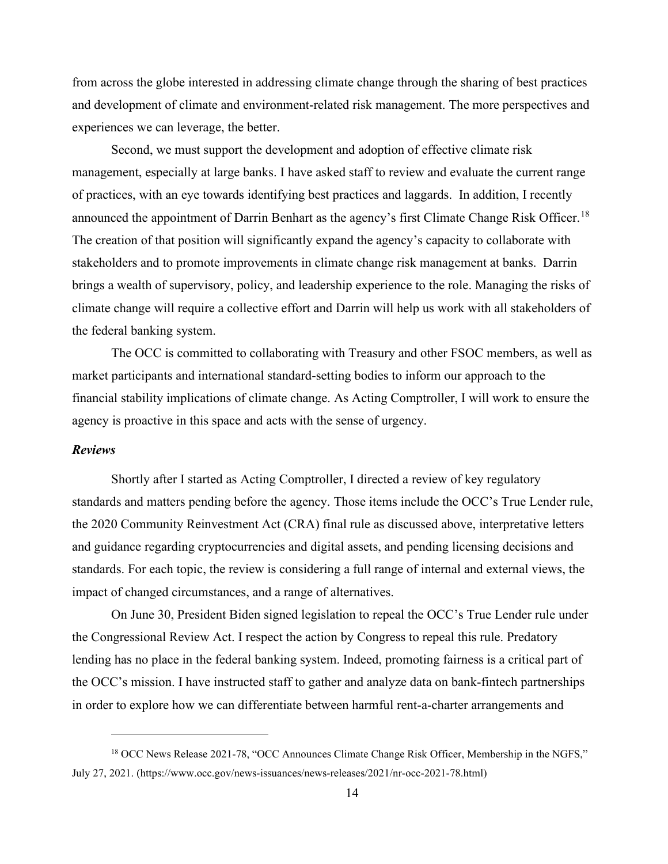from across the globe interested in addressing climate change through the sharing of best practices and development of climate and environment-related risk management. The more perspectives and experiences we can leverage, the better.

Second, we must support the development and adoption of effective climate risk management, especially at large banks. I have asked staff to review and evaluate the current range of practices, with an eye towards identifying best practices and laggards. In addition, I recently announced the appointment of Darrin Benhart as the agency's first Climate Change Risk Officer.<sup>18</sup> The creation of that position will significantly expand the agency's capacity to collaborate with stakeholders and to promote improvements in climate change risk management at banks. Darrin brings a wealth of supervisory, policy, and leadership experience to the role. Managing the risks of climate change will require a collective effort and Darrin will help us work with all stakeholders of the federal banking system.

The OCC is committed to collaborating with Treasury and other FSOC members, as well as market participants and international standard-setting bodies to inform our approach to the financial stability implications of climate change. As Acting Comptroller, I will work to ensure the agency is proactive in this space and acts with the sense of urgency.

# *Reviews*

Shortly after I started as Acting Comptroller, I directed a review of key regulatory standards and matters pending before the agency. Those items include the OCC's True Lender rule, the 2020 Community Reinvestment Act (CRA) final rule as discussed above, interpretative letters and guidance regarding cryptocurrencies and digital assets, and pending licensing decisions and standards. For each topic, the review is considering a full range of internal and external views, the impact of changed circumstances, and a range of alternatives.

On June 30, President Biden signed legislation to repeal the OCC's True Lender rule under the Congressional Review Act. I respect the action by Congress to repeal this rule. Predatory lending has no place in the federal banking system. Indeed, promoting fairness is a critical part of the OCC's mission. I have instructed staff to gather and analyze data on bank-fintech partnerships in order to explore how we can differentiate between harmful rent-a-charter arrangements and

<span id="page-14-0"></span><sup>&</sup>lt;sup>18</sup> OCC News Release 2021-78, "OCC Announces Climate Change Risk Officer, Membership in the NGFS," July 27, 2021. (https://www.occ.gov/news-issuances/news-releases/2021/nr-occ-2021-78.html)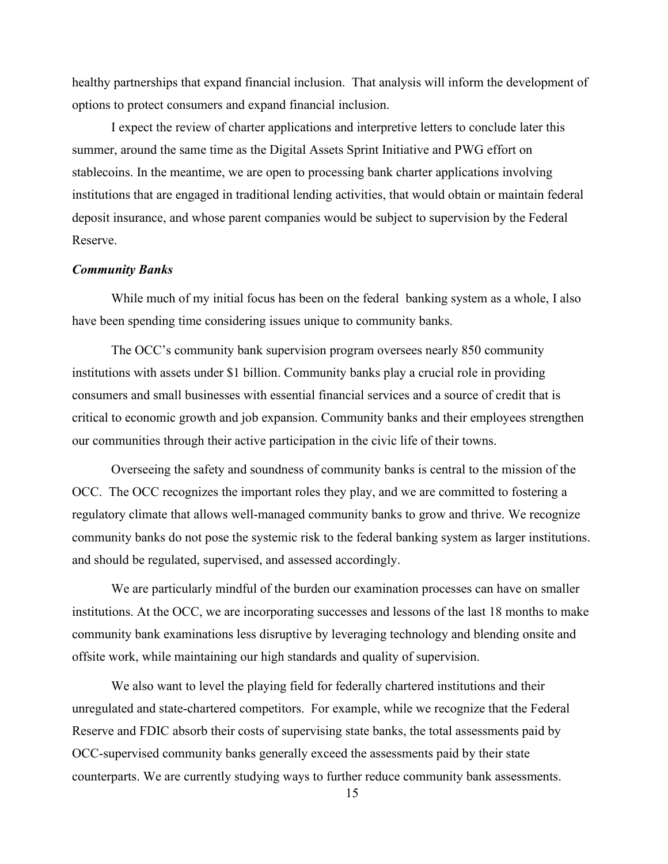healthy partnerships that expand financial inclusion. That analysis will inform the development of options to protect consumers and expand financial inclusion.

I expect the review of charter applications and interpretive letters to conclude later this summer, around the same time as the Digital Assets Sprint Initiative and PWG effort on stablecoins. In the meantime, we are open to processing bank charter applications involving institutions that are engaged in traditional lending activities, that would obtain or maintain federal deposit insurance, and whose parent companies would be subject to supervision by the Federal Reserve.

## *Community Banks*

While much of my initial focus has been on the federal banking system as a whole, I also have been spending time considering issues unique to community banks.

The OCC's community bank supervision program oversees nearly 850 community institutions with assets under \$1 billion. Community banks play a crucial role in providing consumers and small businesses with essential financial services and a source of credit that is critical to economic growth and job expansion. Community banks and their employees strengthen our communities through their active participation in the civic life of their towns.

Overseeing the safety and soundness of community banks is central to the mission of the OCC. The OCC recognizes the important roles they play, and we are committed to fostering a regulatory climate that allows well-managed community banks to grow and thrive. We recognize community banks do not pose the systemic risk to the federal banking system as larger institutions. and should be regulated, supervised, and assessed accordingly.

We are particularly mindful of the burden our examination processes can have on smaller institutions. At the OCC, we are incorporating successes and lessons of the last 18 months to make community bank examinations less disruptive by leveraging technology and blending onsite and offsite work, while maintaining our high standards and quality of supervision.

We also want to level the playing field for federally chartered institutions and their unregulated and state-chartered competitors. For example, while we recognize that the Federal Reserve and FDIC absorb their costs of supervising state banks, the total assessments paid by OCC-supervised community banks generally exceed the assessments paid by their state counterparts. We are currently studying ways to further reduce community bank assessments.

15